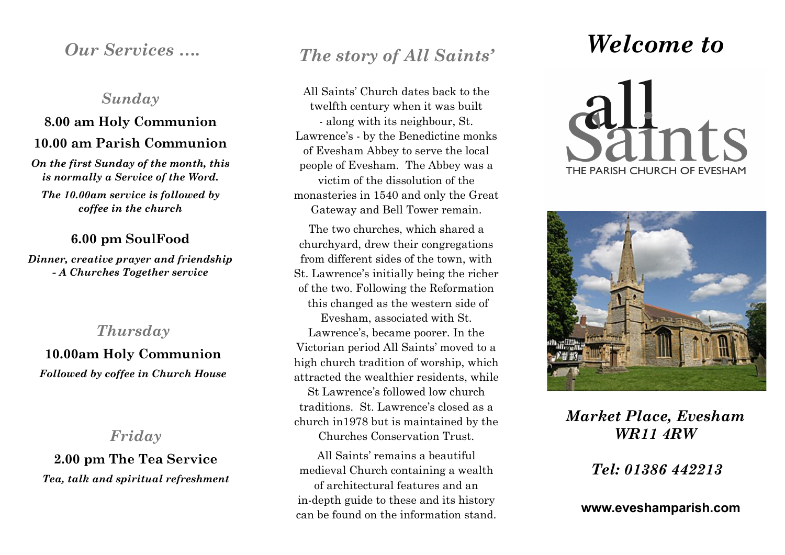### *Sunday*

## **8.00 am Holy Communion 10.00 am Parish Communion**

*On the first Sunday of the month, this is normally a Service of the Word.*

*The 10.00am service is followed by coffee in the church* 

#### **6.00 pm SoulFood**

*Dinner, creative prayer and friendship - A Churches Together service* 

### *Thursday*

**10.00am Holy Communion** *Followed by coffee in Church House* 

### *Friday*

**2.00 pm The Tea Service** *Tea, talk and spiritual refreshment*

# *Our Services …. The story of All Saints'*

All Saints' Church dates back to the twelfth century when it was built - along with its neighbour, St. Lawrence's - by the Benedictine monks of Evesham Abbey to serve the local people of Evesham. The Abbey was a victim of the dissolution of the monasteries in 1540 and only the Great Gateway and Bell Tower remain.

The two churches, which shared a churchyard, drew their congregations from different sides of the town, with St. Lawrence's initially being the richer of the two. Following the Reformation this changed as the western side of Evesham, associated with St. Lawrence's, became poorer. In the Victorian period All Saints' moved to a high church tradition of worship, which attracted the wealthier residents, while St Lawrence's followed low church traditions. St. Lawrence's closed as a church in1978 but is maintained by the Churches Conservation Trust.

All Saints' remains a beautiful medieval Church containing a wealth of architectural features and an in-depth guide to these and its history can be found on the information stand.

# *Welcome to*





## *Market Place, Evesham WR11 4RW*

*Tel: 01386 442213*

**www.eveshamparish.com**